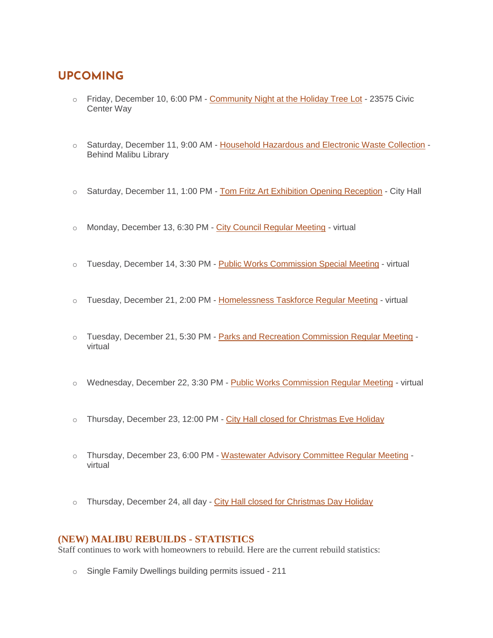# **UPCOMING**

- $\circ$  Friday, December 10, 6:00 PM [Community Night at the Holiday Tree Lot](https://www.malibucity.org/Calendar.aspx?EID=6125&month=12&year=2021&day=10&calType=0) 23575 Civic Center Way
- o Saturday, December 11, 9:00 AM [Household Hazardous and Electronic Waste Collection](https://www.malibucity.org/Calendar.aspx?EID=1630&month=12&year=2021&day=11&calType=0) Behind Malibu Library
- o Saturday, December 11, 1:00 PM [Tom Fritz Art Exhibition Opening Reception](https://www.malibucity.org/Calendar.aspx?EID=6368&month=12&year=2021&day=11&calType=0) City Hall
- $\circ$  Monday, December 13, 6:30 PM [City Council Regular Meeting](https://www.malibucity.org/Calendar.aspx?EID=5606&month=12&year=2021&day=13&calType=0) virtual
- o Tuesday, December 14, 3:30 PM [Public Works Commission Special Meeting](https://www.malibucity.org/Calendar.aspx?EID=6205&month=12&year=2021&day=14&calType=0) virtual
- o Tuesday, December 21, 2:00 PM [Homelessness Taskforce Regular Meeting](https://www.malibucity.org/Calendar.aspx?EID=6085&month=12&year=2021&day=21&calType=0) virtual
- o Tuesday, December 21, 5:30 PM [Parks and Recreation Commission Regular Meeting](https://www.malibucity.org/Calendar.aspx?EID=5633&month=12&year=2021&day=21&calType=0) virtual
- o Wednesday, December 22, 3:30 PM [Public Works Commission Regular Meeting](https://www.malibucity.org/Calendar.aspx?EID=5543&month=12&year=2021&day=22&calType=0) virtual
- $\circ$  Thursday, December 23, 12:00 PM [City Hall closed for Christmas Eve Holiday](https://www.malibucity.org/Calendar.aspx?EID=5683&month=12&year=2021&day=23&calType=0)
- o Thursday, December 23, 6:00 PM [Wastewater Advisory Committee Regular Meeting](https://www.malibucity.org/Calendar.aspx?EID=5518&month=12&year=2021&day=23&calType=0) virtual
- o Thursday, December 24, all day [City Hall closed for Christmas Day Holiday](https://www.malibucity.org/Calendar.aspx?EID=5684&month=12&year=2021&day=24&calType=0)

#### **(NEW) MALIBU REBUILDS - STATISTICS**

Staff continues to work with homeowners to rebuild. Here are the current rebuild statistics:

o Single Family Dwellings building permits issued - 211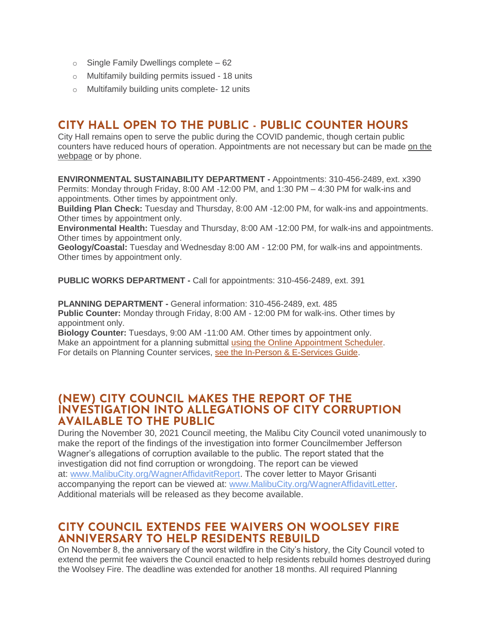- $\circ$  Single Family Dwellings complete 62
- o Multifamily building permits issued 18 units
- o Multifamily building units complete- 12 units

## **CITY HALL OPEN TO THE PUBLIC - PUBLIC COUNTER HOURS**

City Hall remains open to serve the public during the COVID pandemic, though certain public counters have reduced hours of operation. Appointments are not necessary but can be made on the [webpage](https://www.malibucity.org/appointments) or by phone.

**ENVIRONMENTAL SUSTAINABILITY DEPARTMENT -** Appointments: 310-456-2489, ext. x390 Permits: Monday through Friday, 8:00 AM -12:00 PM, and 1:30 PM – 4:30 PM for walk-ins and appointments. Other times by appointment only.

**Building Plan Check:** Tuesday and Thursday, 8:00 AM -12:00 PM, for walk-ins and appointments. Other times by appointment only.

**Environmental Health:** Tuesday and Thursday, 8:00 AM -12:00 PM, for walk-ins and appointments. Other times by appointment only.

**Geology/Coastal:** Tuesday and Wednesday 8:00 AM - 12:00 PM, for walk-ins and appointments. Other times by appointment only.

**PUBLIC WORKS DEPARTMENT -** Call for appointments: 310-456-2489, ext. 391

**PLANNING DEPARTMENT -** General information: 310-456-2489, ext. 485 **Public Counter:** Monday through Friday, 8:00 AM - 12:00 PM for walk-ins. Other times by appointment only.

**Biology Counter:** Tuesdays, 9:00 AM -11:00 AM. Other times by appointment only. Make an appointment for a planning submittal [using the Online Appointment Scheduler.](https://veribook.com/ew.jsp?cpUserId=659551&cpAlias=QgCTkHtyWk1971&mobileSupport=true) For details on Planning Counter services, [see the In-Person & E-Services Guide.](https://www.malibucity.org/DocumentCenter/View/28354/Planning-In-Person--E-Services-Guide?bidId=)

#### **(NEW) CITY COUNCIL MAKES THE REPORT OF THE INVESTIGATION INTO ALLEGATIONS OF CITY CORRUPTION AVAILABLE TO THE PUBLIC**

During the November 30, 2021 Council meeting, the Malibu City Council voted unanimously to make the report of the findings of the investigation into former Councilmember Jefferson Wagner's allegations of corruption available to the public. The report stated that the investigation did not find corruption or wrongdoing. The report can be viewed at: [www.MalibuCity.org/WagnerAffidavitReport.](http://www.malibucity.org/WagnerAffidavitReport) The cover letter to Mayor Grisanti accompanying the report can be viewed at: [www.MalibuCity.org/WagnerAffidavitLetter.](http://www.malibucity.org/WagnerAffidavitLetter) Additional materials will be released as they become available.

## **CITY COUNCIL EXTENDS FEE WAIVERS ON WOOLSEY FIRE ANNIVERSARY TO HELP RESIDENTS REBUILD**

On November 8, the anniversary of the worst wildfire in the City's history, the City Council voted to extend the permit fee waivers the Council enacted to help residents rebuild homes destroyed during the Woolsey Fire. The deadline was extended for another 18 months. All required Planning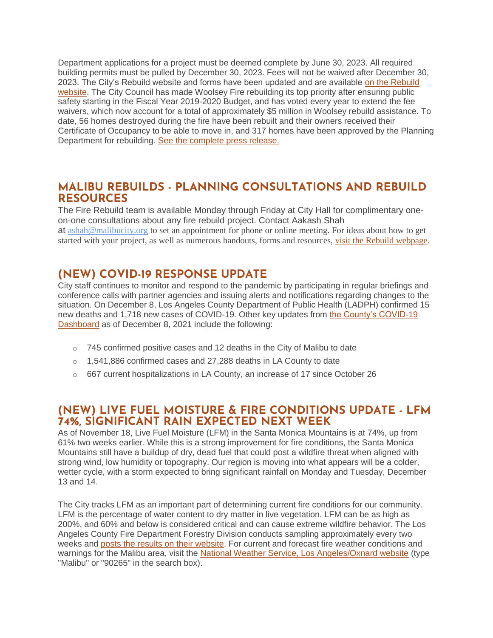Department applications for a project must be deemed complete by June 30, 2023. All required building permits must be pulled by December 30, 2023. Fees will not be waived after December 30, 2023. The City's Rebuild website and forms have been updated and are available [on the Rebuild](http://malibucity.org/RebuildFees)  [website.](http://malibucity.org/RebuildFees) The City Council has made Woolsey Fire rebuilding its top priority after ensuring public safety starting in the Fiscal Year 2019-2020 Budget, and has voted every year to extend the fee waivers, which now account for a total of approximately \$5 million in Woolsey rebuild assistance. To date, 56 homes destroyed during the fire have been rebuilt and their owners received their Certificate of Occupancy to be able to move in, and 317 homes have been approved by the Planning Department for rebuilding. [See the complete press release.](https://www.malibucity.org/CivicAlerts.aspx?AID=1372)

## **MALIBU REBUILDS - PLANNING CONSULTATIONS AND REBUILD RESOURCES**

The Fire Rebuild team is available Monday through Friday at City Hall for complimentary oneon-one consultations about any fire rebuild project. Contact Aakash Shah at [ashah@malibucity.org](mailto:ashah@malibucity.org) to set an appointment for phone or online meeting. For ideas about how to get started with your project, as well as numerous handouts, forms and resources, visit the Rebuild [webpage.](https://www.malibucity.org/901/Malibu-Rebuilds)

# **(NEW) COVID-19 RESPONSE UPDATE**

City staff continues to monitor and respond to the pandemic by participating in regular briefings and conference calls with partner agencies and issuing alerts and notifications regarding changes to the situation. On December 8, Los Angeles County Department of Public Health (LADPH) confirmed 15 new deaths and 1,718 new cases of COVID-19. Other key updates from [the County's COVID-19](http://publichealth.lacounty.gov/media/coronavirus/data/index.htm)  [Dashboard](http://publichealth.lacounty.gov/media/coronavirus/data/index.htm) as of December 8, 2021 include the following:

- $\circ$  745 confirmed positive cases and 12 deaths in the City of Malibu to date
- o 1,541,886 confirmed cases and 27,288 deaths in LA County to date
- o 667 current hospitalizations in LA County, an increase of 17 since October 26

## **(NEW) LIVE FUEL MOISTURE & FIRE CONDITIONS UPDATE - LFM 74%, SIGNIFICANT RAIN EXPECTED NEXT WEEK**

As of November 18, Live Fuel Moisture (LFM) in the Santa Monica Mountains is at 74%, up from 61% two weeks earlier. While this is a strong improvement for fire conditions, the Santa Monica Mountains still have a buildup of dry, dead fuel that could post a wildfire threat when aligned with strong wind, low humidity or topography. Our region is moving into what appears will be a colder, wetter cycle, with a storm expected to bring significant rainfall on Monday and Tuesday, December 13 and 14.

The City tracks LFM as an important part of determining current fire conditions for our community. LFM is the percentage of water content to dry matter in live vegetation. LFM can be as high as 200%, and 60% and below is considered critical and can cause extreme wildfire behavior. The Los Angeles County Fire Department Forestry Division conducts sampling approximately every two weeks and [posts the results on their website.](https://fire.lacounty.gov/fire-weather-danger) For current and forecast fire weather conditions and warnings for the Malibu area, visit the [National Weather Service, Los Angeles/Oxnard website](https://www.weather.gov/lox/) (type "Malibu" or "90265" in the search box).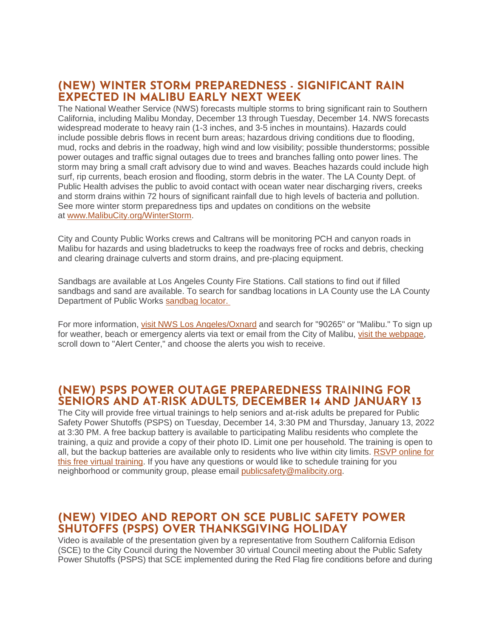## **(NEW) WINTER STORM PREPAREDNESS - SIGNIFICANT RAIN EXPECTED IN MALIBU EARLY NEXT WEEK**

The National Weather Service (NWS) forecasts multiple storms to bring significant rain to Southern California, including Malibu Monday, December 13 through Tuesday, December 14. NWS forecasts widespread moderate to heavy rain (1-3 inches, and 3-5 inches in mountains). Hazards could include possible debris flows in recent burn areas; hazardous driving conditions due to flooding, mud, rocks and debris in the roadway, high wind and low visibility; possible thunderstorms; possible power outages and traffic signal outages due to trees and branches falling onto power lines. The storm may bring a small craft advisory due to wind and waves. Beaches hazards could include high surf, rip currents, beach erosion and flooding, storm debris in the water. The LA County Dept. of Public Health advises the public to avoid contact with ocean water near discharging rivers, creeks and storm drains within 72 hours of significant rainfall due to high levels of bacteria and pollution. See more winter storm preparedness tips and updates on conditions on the website at [www.MalibuCity.org/WinterStorm.](https://www.malibucity.org/WinterStorm)

City and County Public Works crews and Caltrans will be monitoring PCH and canyon roads in Malibu for hazards and using bladetrucks to keep the roadways free of rocks and debris, checking and clearing drainage culverts and storm drains, and pre-placing equipment.

Sandbags are available at Los Angeles County Fire Stations. Call stations to find out if filled sandbags and sand are available. To search for sandbag locations in LA County use the LA County Department of Public Works [sandbag locator.](https://pw.lacounty.gov/dsg/sandbags/)

For more information, [visit NWS Los Angeles/Oxnard](https://www.weather.gov/lox/) and search for "90265" or "Malibu." To sign up for weather, beach or emergency alerts via text or email from the City of Malibu, [visit the webpage,](http://www.malibucity.org/News) scroll down to "Alert Center," and choose the alerts you wish to receive.

## **(NEW) PSPS POWER OUTAGE PREPAREDNESS TRAINING FOR SENIORS AND AT-RISK ADULTS, DECEMBER 14 AND JANUARY 13**

The City will provide free virtual trainings to help seniors and at-risk adults be prepared for Public Safety Power Shutoffs (PSPS) on Tuesday, December 14, 3:30 PM and Thursday, January 13, 2022 at 3:30 PM. A free backup battery is available to participating Malibu residents who complete the training, a quiz and provide a copy of their photo ID. Limit one per household. The training is open to all, but the backup batteries are available only to residents who live within city limits. [RSVP online for](http://malibusafety.eventbrite.com/)  [this free virtual training.](http://malibusafety.eventbrite.com/) If you have any questions or would like to schedule training for you neighborhood or community group, please email [publicsafety@malibcity.org.](mailto:publicsafety@malibcity.org)

## **(NEW) VIDEO AND REPORT ON SCE PUBLIC SAFETY POWER SHUTOFFS (PSPS) OVER THANKSGIVING HOLIDAY**

Video is available of the presentation given by a representative from Southern California Edison (SCE) to the City Council during the November 30 virtual Council meeting about the Public Safety Power Shutoffs (PSPS) that SCE implemented during the Red Flag fire conditions before and during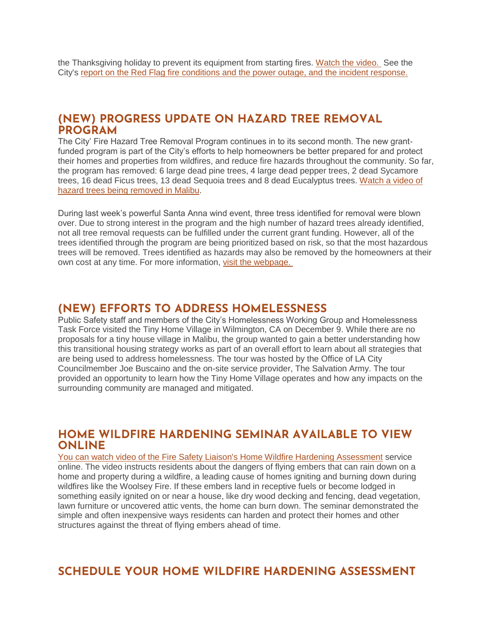the Thanksgiving holiday to prevent its equipment from starting fires. [Watch the video.](https://www.youtube.com/watch?v=PyuTSMaZHxY&t=4004s) See the City's [report on the Red Flag fire conditions and the power outage, and the incident response.](https://www.malibucity.org/CivicAlerts.aspx?AID=1381)

#### **(NEW) PROGRESS UPDATE ON HAZARD TREE REMOVAL PROGRAM**

The City' Fire Hazard Tree Removal Program continues in to its second month. The new grantfunded program is part of the City's efforts to help homeowners be better prepared for and protect their homes and properties from wildfires, and reduce fire hazards throughout the community. So far, the program has removed: 6 large dead pine trees, 4 large dead pepper trees, 2 dead Sycamore trees, 16 dead Ficus trees, 13 dead Sequoia trees and 8 dead Eucalyptus trees. [Watch a video of](https://www.youtube.com/watch?v=MfC8dHCsnGs)  [hazard trees being removed in Malibu.](https://www.youtube.com/watch?v=MfC8dHCsnGs)

During last week's powerful Santa Anna wind event, three tress identified for removal were blown over. Due to strong interest in the program and the high number of hazard trees already identified, not all tree removal requests can be fulfilled under the current grant funding. However, all of the trees identified through the program are being prioritized based on risk, so that the most hazardous trees will be removed. Trees identified as hazards may also be removed by the homeowners at their own cost at any time. For more information, [visit the webpage.](https://malibucity.org/1072/Hazard-Tree-Removal)

#### **(NEW) EFFORTS TO ADDRESS HOMELESSNESS**

Public Safety staff and members of the City's Homelessness Working Group and Homelessness Task Force visited the Tiny Home Village in Wilmington, CA on December 9. While there are no proposals for a tiny house village in Malibu, the group wanted to gain a better understanding how this transitional housing strategy works as part of an overall effort to learn about all strategies that are being used to address homelessness. The tour was hosted by the Office of LA City Councilmember Joe Buscaino and the on-site service provider, The Salvation Army. The tour provided an opportunity to learn how the Tiny Home Village operates and how any impacts on the surrounding community are managed and mitigated.

#### **HOME WILDFIRE HARDENING SEMINAR AVAILABLE TO VIEW ONLINE**

[You can watch video of the Fire Safety Liaison's Home Wildfire Hardening Assessment](https://www.youtube.com/watch?v=vft8JoeJckY) service online. The video instructs residents about the dangers of flying embers that can rain down on a home and property during a wildfire, a leading cause of homes igniting and burning down during wildfires like the Woolsey Fire. If these embers land in receptive fuels or become lodged in something easily ignited on or near a house, like dry wood decking and fencing, dead vegetation, lawn furniture or uncovered attic vents, the home can burn down. The seminar demonstrated the simple and often inexpensive ways residents can harden and protect their homes and other structures against the threat of flying embers ahead of time.

#### **SCHEDULE YOUR HOME WILDFIRE HARDENING ASSESSMENT**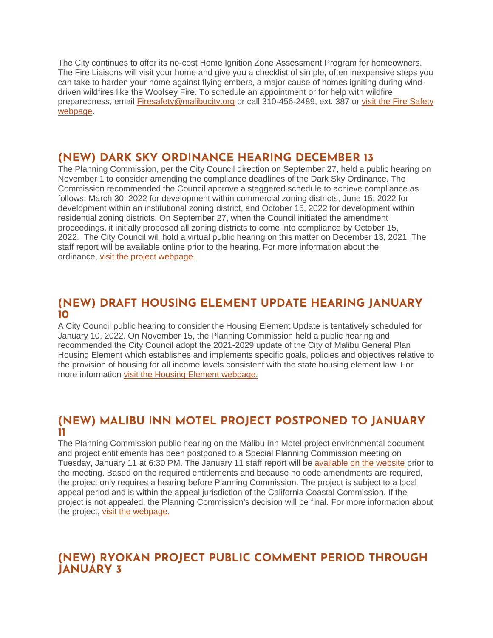The City continues to offer its no-cost Home Ignition Zone Assessment Program for homeowners. The Fire Liaisons will visit your home and give you a checklist of simple, often inexpensive steps you can take to harden your home against flying embers, a major cause of homes igniting during winddriven wildfires like the Woolsey Fire. To schedule an appointment or for help with wildfire preparedness, email [Firesafety@malibucity.org](mailto:Firesafety@malibucity.org) or call 310-456-2489, ext. 387 or [visit the Fire Safety](https://www.malibucity.org/952/Fire-Safety)  [webpage.](https://www.malibucity.org/952/Fire-Safety)

## **(NEW) DARK SKY ORDINANCE HEARING DECEMBER 13**

The Planning Commission, per the City Council direction on September 27, held a public hearing on November 1 to consider amending the compliance deadlines of the Dark Sky Ordinance. The Commission recommended the Council approve a staggered schedule to achieve compliance as follows: March 30, 2022 for development within commercial zoning districts, June 15, 2022 for development within an institutional zoning district, and October 15, 2022 for development within residential zoning districts. On September 27, when the Council initiated the amendment proceedings, it initially proposed all zoning districts to come into compliance by October 15, 2022. The City Council will hold a virtual public hearing on this matter on December 13, 2021. The staff report will be available online prior to the hearing. For more information about the ordinance, [visit the project webpage.](https://www.malibucity.org/705/Dark-Sky-Ordinance)

## **(NEW) DRAFT HOUSING ELEMENT UPDATE HEARING JANUARY 10**

A City Council public hearing to consider the Housing Element Update is tentatively scheduled for January 10, 2022. On November 15, the Planning Commission held a public hearing and recommended the City Council adopt the 2021-2029 update of the City of Malibu General Plan Housing Element which establishes and implements specific goals, policies and objectives relative to the provision of housing for all income levels consistent with the state housing element law. For more information [visit the Housing Element webpage.](https://www.malibucity.org/housingelement)

## **(NEW) MALIBU INN MOTEL PROJECT POSTPONED TO JANUARY 11**

The Planning Commission public hearing on the Malibu Inn Motel project environmental document and project entitlements has been postponed to a Special Planning Commission meeting on Tuesday, January 11 at 6:30 PM. The January 11 staff report will be [available on the website](https://www.malibucity.org/agendacenter) prior to the meeting. Based on the required entitlements and because no code amendments are required, the project only requires a hearing before Planning Commission. The project is subject to a local appeal period and is within the appeal jurisdiction of the California Coastal Commission. If the project is not appealed, the Planning Commission's decision will be final. For more information about the project, [visit the webpage.](https://www.malibucity.org/810/Malibu-Inn-Motel)

## **(NEW) RYOKAN PROJECT PUBLIC COMMENT PERIOD THROUGH JANUARY 3**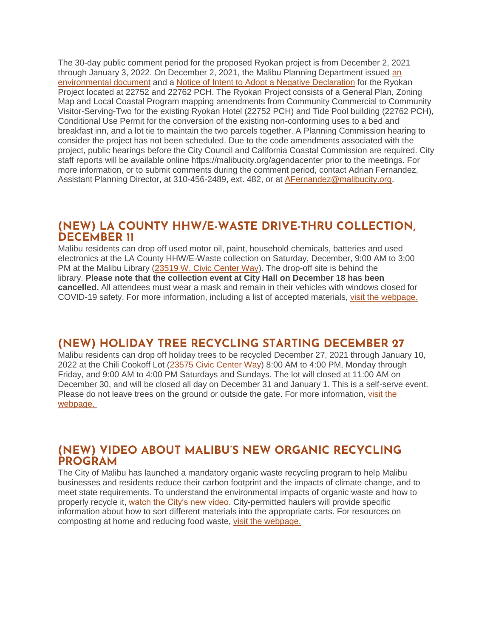The 30-day public comment period for the proposed Ryokan project is from December 2, 2021 through January 3, 2022. On December 2, 2021, the Malibu Planning Department issued [an](https://malibucity.org/DocumentCenter/View/29025/Administrative-Draft-Initial-Study_22752_22762-PCH-Revised-211116)  [environmental document](https://malibucity.org/DocumentCenter/View/29025/Administrative-Draft-Initial-Study_22752_22762-PCH-Revised-211116) and a [Notice of Intent to Adopt a Negative Declaration](https://malibucity.org/DocumentCenter/View/29024/Notice-of-Intent) for the Ryokan Project located at 22752 and 22762 PCH. The Ryokan Project consists of a General Plan, Zoning Map and Local Coastal Program mapping amendments from Community Commercial to Community Visitor-Serving-Two for the existing Ryokan Hotel (22752 PCH) and Tide Pool building (22762 PCH), Conditional Use Permit for the conversion of the existing non-conforming uses to a bed and breakfast inn, and a lot tie to maintain the two parcels together. A Planning Commission hearing to consider the project has not been scheduled. Due to the code amendments associated with the project, public hearings before the City Council and California Coastal Commission are required. City staff reports will be available online https://malibucity.org/agendacenter prior to the meetings. For more information, or to submit comments during the comment period, contact Adrian Fernandez, Assistant Planning Director, at 310-456-2489, ext. 482, or at [AFernandez@malibucity.org.](mailto:AFernandez@malibucity.org)

## **(NEW) LA COUNTY HHW/E-WASTE DRIVE-THRU COLLECTION, DECEMBER 11**

Malibu residents can drop off used motor oil, paint, household chemicals, batteries and used electronics at the LA County HHW/E-Waste collection on Saturday, December, 9:00 AM to 3:00 PM at the Malibu Library [\(23519 W. Civic Center Way\)](https://goo.gl/maps/VVJYkuYksYjcxz6X8). The drop-off site is behind the library. **Please note that the collection event at City Hall on December 18 has been cancelled.** All attendees must wear a mask and remain in their vehicles with windows closed for COVID-19 safety. For more information, including a list of accepted materials, visit [the webpage.](https://www.malibucity.org/Calendar.aspx?EID=1630&month=12&year=2021&day=11&calType=0)

## **(NEW) HOLIDAY TREE RECYCLING STARTING DECEMBER 27**

Malibu residents can drop off holiday trees to be recycled December 27, 2021 through January 10, 2022 at the Chili Cookoff Lot [\(23575 Civic Center Way\)](https://goo.gl/maps/rcbnKbCCd25gmBZx5) 8:00 AM to 4:00 PM, Monday through Friday, and 9:00 AM to 4:00 PM Saturdays and Sundays. The lot will closed at 11:00 AM on December 30, and will be closed all day on December 31 and January 1. This is a self-serve event. Please do not leave trees on the ground or outside the gate. For more information, visit the [webpage.](https://www.malibucity.org/Calendar.aspx?EID=5620)

## **(NEW) VIDEO ABOUT MALIBU'S NEW ORGANIC RECYCLING PROGRAM**

The City of Malibu has launched a mandatory organic waste recycling program to help Malibu businesses and residents reduce their carbon footprint and the impacts of climate change, and to meet state requirements. To understand the environmental impacts of organic waste and how to properly recycle it, [watch the City's new video.](https://youtu.be/dZGqdZR7TnU) City-permitted haulers will provide specific information about how to sort different materials into the appropriate carts. For resources on composting at home and reducing food waste, [visit the webpage.](http://www.malibucity.org/organics)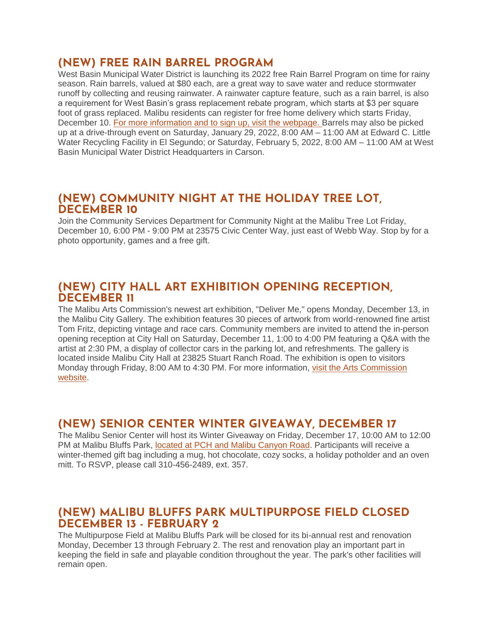## **(NEW) FREE RAIN BARREL PROGRAM**

West Basin Municipal Water District is launching its 2022 free Rain Barrel Program on time for rainy season. Rain barrels, valued at \$80 each, are a great way to save water and reduce stormwater runoff by collecting and reusing rainwater. A rainwater capture feature, such as a rain barrel, is also a requirement for West Basin's grass replacement rebate program, which starts at \$3 per square foot of grass replaced. Malibu residents can register for free home delivery which starts Friday, December 10. [For more information and to sign up, visit the webpage.](https://www.westbasin.org/conservation/conservation-programs/rain-barrels-3) Barrels may also be picked up at a drive-through event on Saturday, January 29, 2022, 8:00 AM – 11:00 AM at Edward C. Little Water Recycling Facility in El Segundo; or Saturday, February 5, 2022, 8:00 AM – 11:00 AM at West Basin Municipal Water District Headquarters in Carson.

## **(NEW) COMMUNITY NIGHT AT THE HOLIDAY TREE LOT, DECEMBER 10**

Join the Community Services Department for Community Night at the Malibu Tree Lot Friday, December 10, 6:00 PM - 9:00 PM at 23575 Civic Center Way, just east of Webb Way. Stop by for a photo opportunity, games and a free gift.

## **(NEW) CITY HALL ART EXHIBITION OPENING RECEPTION, DECEMBER 11**

The Malibu Arts Commission's newest art exhibition, "Deliver Me," opens Monday, December 13, in the Malibu City Gallery. The exhibition features 30 pieces of artwork from world-renowned fine artist Tom Fritz, depicting vintage and race cars. Community members are invited to attend the in-person opening reception at City Hall on Saturday, December 11, 1:00 to 4:00 PM featuring a Q&A with the artist at 2:30 PM, a display of collector cars in the parking lot, and refreshments. The gallery is located inside Malibu City Hall at 23825 Stuart Ranch Road. The exhibition is open to visitors Monday through Friday, 8:00 AM to 4:30 PM. For more information, [visit the Arts Commission](https://malibuartscommission.org/286/Deliver-Me-Tom-Fritz-Art-Exhibition)  [website.](https://malibuartscommission.org/286/Deliver-Me-Tom-Fritz-Art-Exhibition)

## **(NEW) SENIOR CENTER WINTER GIVEAWAY, DECEMBER 17**

The Malibu Senior Center will host its Winter Giveaway on Friday, December 17, 10:00 AM to 12:00 PM at Malibu Bluffs Park, [located at PCH and Malibu Canyon Road.](https://goo.gl/maps/6Am83gqj39Fh3FPm8) Participants will receive a winter-themed gift bag including a mug, hot chocolate, cozy socks, a holiday potholder and an oven mitt. To RSVP, please call 310-456-2489, ext. 357.

## **(NEW) MALIBU BLUFFS PARK MULTIPURPOSE FIELD CLOSED DECEMBER 13 - FEBRUARY 2**

The Multipurpose Field at Malibu Bluffs Park will be closed for its bi-annual rest and renovation Monday, December 13 through February 2. The rest and renovation play an important part in keeping the field in safe and playable condition throughout the year. The park's other facilities will remain open.